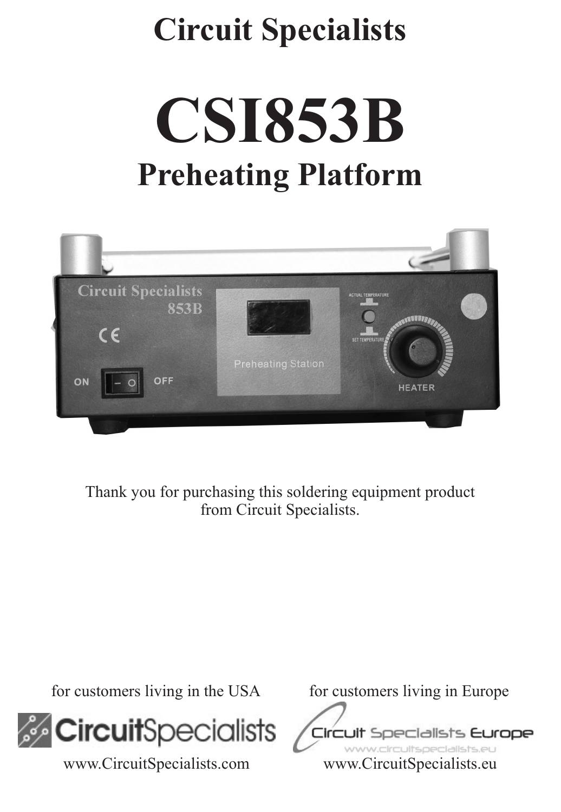# **Circuit Specialists**

**CSI853B Preheating Platform**



Thank you for purchasing this soldering equipment product from Circuit Specialists.



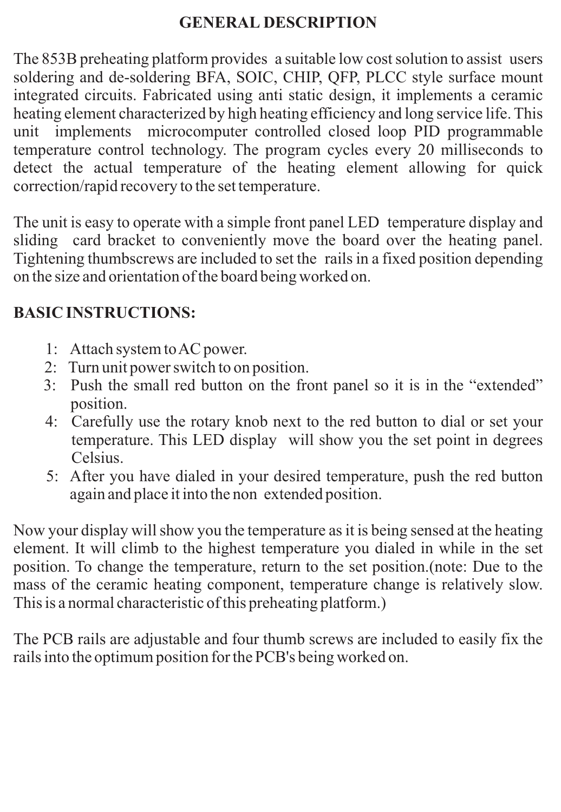### **GENERAL DESCRIPTION**

The 853B preheating platform provides a suitable low cost solution to assist users soldering and de-soldering BFA, SOIC, CHIP, QFP, PLCC style surface mount integrated circuits. Fabricated using anti static design, it implements a ceramic heating element characterized by high heating efficiency and long service life. This unit implements microcomputer controlled closed loop PID programmable temperature control technology. The program cycles every 20 milliseconds to detect the actual temperature of the heating element allowing for quick correction/rapid recovery to the set temperature.

The unit is easy to operate with a simple front panel LED temperature display and sliding card bracket to conveniently move the board over the heating panel. Tightening thumbscrews are included to set the rails in a fixed position depending on the size and orientation of the board being worked on.

## **BASIC INSTRUCTIONS:**

- 1: Attach system to AC power.
- 2: Turn unit power switch to on position.
- 3: Push the small red button on the front panel so it is in the "extended" position.
- 4: Carefully use the rotary knob next to the red button to dial or set your temperature. This LED display will show you the set point in degrees Celsius.
- 5: After you have dialed in your desired temperature, push the red button again and place it into the non extended position.

Now your display will show you the temperature as it is being sensed at the heating element. It will climb to the highest temperature you dialed in while in the set position. To change the temperature, return to the set position.(note: Due to the mass of the ceramic heating component, temperature change is relatively slow. This is a normal characteristic of this preheating platform.)

The PCB rails are adjustable and four thumb screws are included to easily fix the rails into the optimum position for the PCB's being worked on.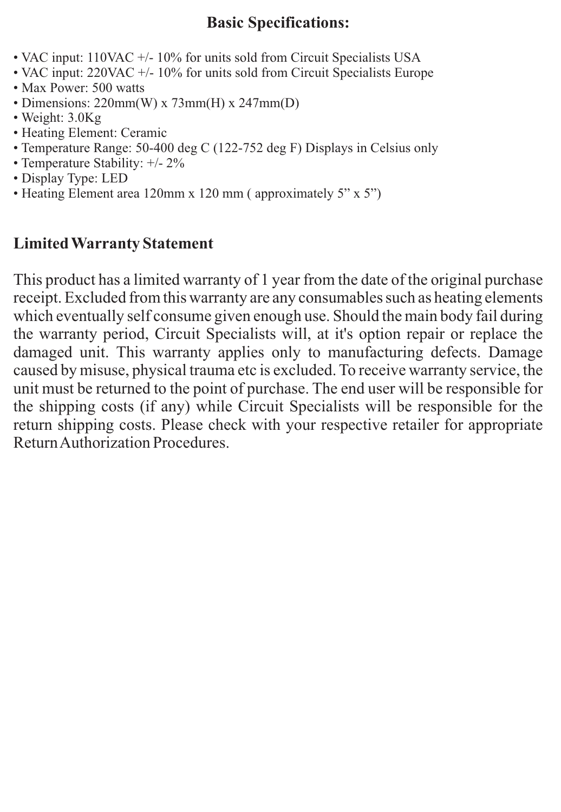#### **Basic Specifications:**

- VAC input: 110VAC +/- 10% for units sold from Circuit Specialists USA
- VAC input: 220VAC +/- 10% for units sold from Circuit Specialists Europe
- Max Power: 500 watts
- Dimensions: 220mm(W) x 73mm(H) x 247mm(D)
- Weight: 3.0Kg
- Heating Element: Ceramic
- Temperature Range: 50-400 deg C (122-752 deg F) Displays in Celsius only
- Temperature Stability: +/- 2%
- Display Type: LED
- Heating Element area 120mm x 120 mm (approximately 5" x 5")

## **Limited Warranty Statement**

This product has a limited warranty of 1 year from the date of the original purchase receipt. Excluded from this warranty are any consumables such as heating elements which eventually self consume given enough use. Should the main body fail during the warranty period, Circuit Specialists will, at it's option repair or replace the damaged unit. This warranty applies only to manufacturing defects. Damage caused by misuse, physical trauma etc is excluded. To receive warranty service, the unit must be returned to the point of purchase. The end user will be responsible for the shipping costs (if any) while Circuit Specialists will be responsible for the return shipping costs. Please check with your respective retailer for appropriate Return Authorization Procedures.